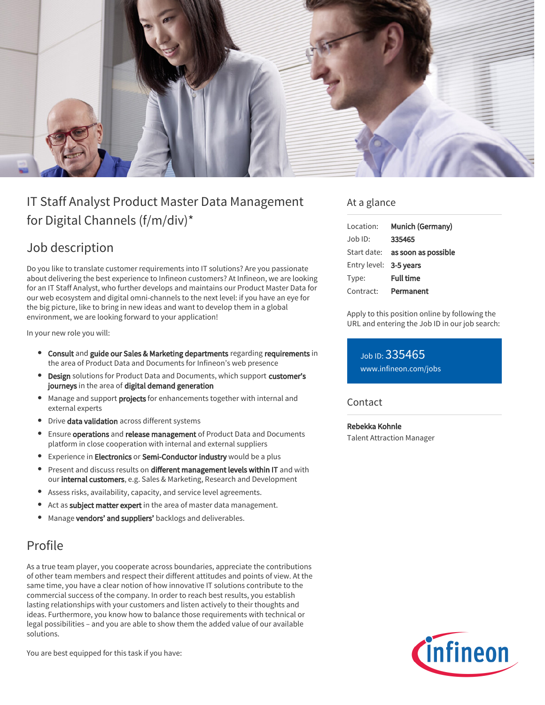

# IT Staff Analyst Product Master Data Management for Digital Channels (f/m/div)\*

## Job description

Do you like to translate customer requirements into IT solutions? Are you passionate about delivering the best experience to Infineon customers? At Infineon, we are looking for an IT Staff Analyst, who further develops and maintains our Product Master Data for our web ecosystem and digital omni-channels to the next level: if you have an eye for the big picture, like to bring in new ideas and want to develop them in a global environment, we are looking forward to your application!

In your new role you will:

- **Consult and guide our Sales & Marketing departments regarding requirements in** the area of Product Data and Documents for Infineon's web presence
- **Design** solutions for Product Data and Documents, which support customer's journeys in the area of digital demand generation
- Manage and support **projects** for enhancements together with internal and external experts
- **•** Drive data validation across different systems
- Ensure operations and release management of Product Data and Documents platform in close cooperation with internal and external suppliers
- **Experience in Electronics or Semi-Conductor industry** would be a plus
- $\bullet$ Present and discuss results on different management levels within IT and with our internal customers, e.g. Sales & Marketing, Research and Development
- Assess risks, availability, capacity, and service level agreements.
- Act as **subject matter expert** in the area of master data management.  $\bullet$
- Manage vendors' and suppliers' backlogs and deliverables.

## Profile

As a true team player, you cooperate across boundaries, appreciate the contributions of other team members and respect their different attitudes and points of view. At the same time, you have a clear notion of how innovative IT solutions contribute to the commercial success of the company. In order to reach best results, you establish lasting relationships with your customers and listen actively to their thoughts and ideas. Furthermore, you know how to balance those requirements with technical or legal possibilities – and you are able to show them the added value of our available solutions.

You are best equipped for this task if you have:

#### At a glance

| Munich (Germany)                       |
|----------------------------------------|
| 335465                                 |
| Start date: <b>as soon as possible</b> |
| Entry level: 3-5 years                 |
| <b>Full time</b>                       |
| Permanent                              |
|                                        |

Apply to this position online by following the URL and entering the Job ID in our job search:

Job ID: 335465 [www.infineon.com/jobs](https://www.infineon.com/jobs)

#### **Contact**

Rebekka Kohnle Talent Attraction Manager